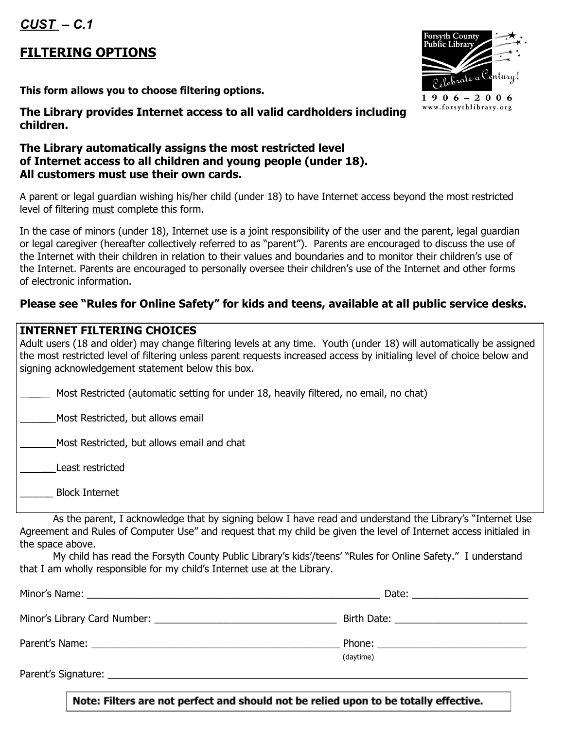*CUST – C.1*

## **FILTERING OPTIONS**

**This form allows you to choose filtering options.**

**The Library provides Internet access to all valid cardholders including children.**

## **The Library automatically assigns the most restricted level of Internet access to all children and young people (under 18). All customers must use their own cards.**

A parent or legal guardian wishing his/her child (under 18) to have Internet access beyond the most restricted level of filtering must complete this form.

In the case of minors (under 18), Internet use is a joint responsibility of the user and the parent, legal guardian or legal caregiver (hereafter collectively referred to as "parent"). Parents are encouraged to discuss the use of the Internet with their children in relation to their values and boundaries and to monitor their children's use of the Internet. Parents are encouraged to personally oversee their children's use of the Internet and other forms of electronic information.

## **Please see "Rules for Online Safety" for kids and teens, available at all public service desks.**

## **INTERNET FILTERING CHOICES**

| Adult users (18 and older) may change filtering levels at any time. Youth (under 18) will automatically be assigned<br>the most restricted level of filtering unless parent requests increased access by initialing level of choice below and<br>signing acknowledgement statement below this box. |
|----------------------------------------------------------------------------------------------------------------------------------------------------------------------------------------------------------------------------------------------------------------------------------------------------|
| Most Restricted (automatic setting for under 18, heavily filtered, no email, no chat)                                                                                                                                                                                                              |
| Most Restricted, but allows email                                                                                                                                                                                                                                                                  |
| Most Restricted, but allows email and chat                                                                                                                                                                                                                                                         |
| Least restricted                                                                                                                                                                                                                                                                                   |
| <b>Block Internet</b>                                                                                                                                                                                                                                                                              |

As the parent, I acknowledge that by signing below I have read and understand the Library's "Internet Use Agreement and Rules of Computer Use" and request that my child be given the level of Internet access initialed in the space above.

My child has read the Forsyth County Public Library's kids'/teens' "Rules for Online Safety." I understand that I am wholly responsible for my child's Internet use at the Library.

|                     | Birth Date: <u>_______________________</u> |
|---------------------|--------------------------------------------|
|                     |                                            |
|                     | (daytime)                                  |
| Parent's Signature: |                                            |

Celebrate a Century!  $1906 - 2006$ www.forsythlibrary.org

th Count

Note: Filters are not perfect and should not be relied upon to be totally effective.